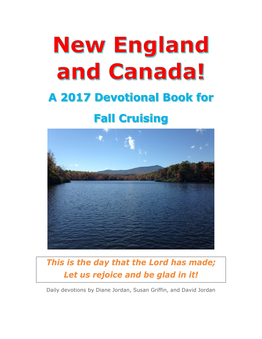# **New England** and Canada! **A 2017 Devotional Book for**

# **Fall Cruising**



## This is the day that the Lord has made; Let us rejoice and be glad in it!

Daily devotions by Diane Jordan, Susan Griffin, and David Jordan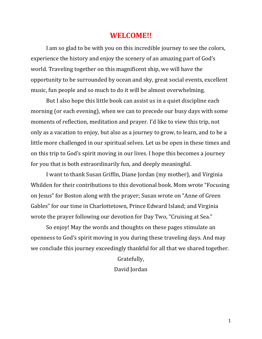#### **WELCOME!!**

I am so glad to be with you on this incredible journey to see the colors, experience the history and enjoy the scenery of an amazing part of God's world. Traveling together on this magnificent ship, we will have the opportunity to be surrounded by ocean and sky, great social events, excellent music, fun people and so much to do it will be almost overwhelming.

But I also hope this little book can assist us in a quiet discipline each morning (or each evening), when we can to precede our busy days with some moments of reflection, meditation and prayer. I'd like to view this trip, not only as a vacation to enjoy, but also as a journey to grow, to learn, and to be a little more challenged in our spiritual selves. Let us be open in these times and on this trip to God's spirit moving in our lives. I hope this becomes a journey for you that is both extraordinarily fun, and deeply meaningful.

I want to thank Susan Griffin, Diane Jordan (my mother), and Virginia Whilden for their contributions to this devotional book. Mom wrote "Focusing" on Jesus" for Boston along with the prayer; Susan wrote on "Anne of Green Gables" for our time in Charlottetown, Prince Edward Island; and Virginia wrote the prayer following our devotion for Day Two, "Cruising at Sea."

So enjoy! May the words and thoughts on these pages stimulate an openness to God's spirit moving in you during these traveling days. And may we conclude this journey exceedingly thankful for all that we shared together.

Gratefully,

David Jordan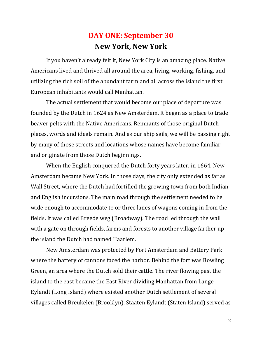## **DAY ONE: September 30 New York, New York**

If you haven't already felt it, New York City is an amazing place. Native Americans lived and thrived all around the area, living, working, fishing, and utilizing the rich soil of the abundant farmland all across the island the first European inhabitants would call Manhattan.

The actual settlement that would become our place of departure was founded by the Dutch in 1624 as New Amsterdam. It began as a place to trade beaver pelts with the Native Americans. Remnants of those original Dutch places, words and ideals remain. And as our ship sails, we will be passing right by many of those streets and locations whose names have become familiar and originate from those Dutch beginnings.

When the English conquered the Dutch forty years later, in 1664, New Amsterdam became New York. In those days, the city only extended as far as Wall Street, where the Dutch had fortified the growing town from both Indian and English incursions. The main road through the settlement needed to be wide enough to accommodate to or three lanes of wagons coming in from the fields. It was called Breede weg (Broadway). The road led through the wall with a gate on through fields, farms and forests to another village farther up the island the Dutch had named Haarlem.

New Amsterdam was protected by Fort Amsterdam and Battery Park where the battery of cannons faced the harbor. Behind the fort was Bowling Green, an area where the Dutch sold their cattle. The river flowing past the island to the east became the East River dividing Manhattan from Lange Eylandt (Long Island) where existed another Dutch settlement of several villages called Breukelen (Brooklyn). Staaten Eylandt (Staten Island) served as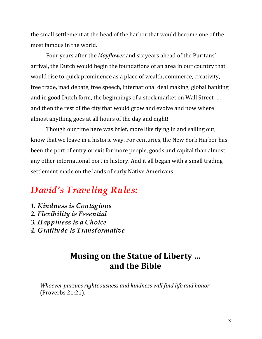the small settlement at the head of the harbor that would become one of the most famous in the world.

Four years after the *Mayflower* and six years ahead of the Puritans' arrival, the Dutch would begin the foundations of an area in our country that would rise to quick prominence as a place of wealth, commerce, creativity, free trade, mad debate, free speech, international deal making, global banking and in good Dutch form, the beginnings of a stock market on Wall Street ... and then the rest of the city that would grow and evolve and now where almost anything goes at all hours of the day and night!

Though our time here was brief, more like flying in and sailing out, know that we leave in a historic way. For centuries, the New York Harbor has been the port of entry or exit for more people, goods and capital than almost any other international port in history. And it all began with a small trading settlement made on the lands of early Native Americans.

## *David's Traveling Rules:*

- *1. Kindness is Contagious*
- *2. Flexibility is Essential*
- *3. Happiness is a Choice*
- *4. Gratitude is Transformative*

#### **Musing on the Statue of Liberty ...** and the **Bible**

Whoever pursues righteousness and kindness will find life and honor (Proverbs 21:21).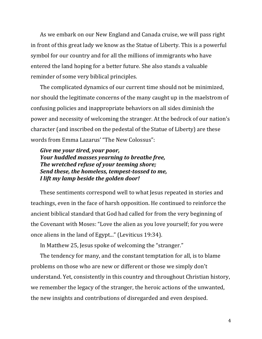As we embark on our New England and Canada cruise, we will pass right in front of this great lady we know as the Statue of Liberty. This is a powerful symbol for our country and for all the millions of immigrants who have entered the land hoping for a better future. She also stands a valuable reminder of some very biblical principles.

The complicated dynamics of our current time should not be minimized, nor should the legitimate concerns of the many caught up in the maelstrom of confusing policies and inappropriate behaviors on all sides diminish the power and necessity of welcoming the stranger. At the bedrock of our nation's character (and inscribed on the pedestal of the Statue of Liberty) are these words from Emma Lazarus' "The New Colossus":

#### *Give me your tired, your poor, Your huddled masses yearning to breathe free, The wretched refuse of your teeming shore; Send these, the homeless, tempest-tossed to me, I* lift my lamp beside the golden door!

These sentiments correspond well to what Jesus repeated in stories and teachings, even in the face of harsh opposition. He continued to reinforce the ancient biblical standard that God had called for from the very beginning of the Covenant with Moses: "Love the alien as you love yourself; for you were once aliens in the land of Egypt..." (Leviticus 19:34).

In Matthew 25, Jesus spoke of welcoming the "stranger."

The tendency for many, and the constant temptation for all, is to blame problems on those who are new or different or those we simply don't understand. Yet, consistently in this country and throughout Christian history, we remember the legacy of the stranger, the heroic actions of the unwanted, the new insights and contributions of disregarded and even despised.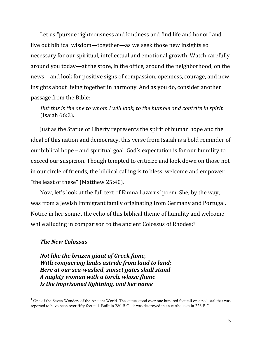Let us "pursue righteousness and kindness and find life and honor" and live out biblical wisdom—together—as we seek those new insights so necessary for our spiritual, intellectual and emotional growth. Watch carefully around you today—at the store, in the office, around the neighborhood, on the news—and look for positive signs of compassion, openness, courage, and new insights about living together in harmony. And as you do, consider another passage from the Bible:

*But this is the one to whom I will look, to the humble and contrite in spirit* (Isaiah 66:2).

Just as the Statue of Liberty represents the spirit of human hope and the ideal of this nation and democracy, this verse from Isaiah is a bold reminder of our biblical hope – and spiritual goal. God's expectation is for our humility to exceed our suspicion. Though tempted to criticize and look down on those not in our circle of friends, the biblical calling is to bless, welcome and empower "the least of these" (Matthew 25:40).

Now, let's look at the full text of Emma Lazarus' poem. She, by the way, was from a Jewish immigrant family originating from Germany and Portugal. Notice in her sonnet the echo of this biblical theme of humility and welcome while alluding in comparison to the ancient Colossus of Rhodes: $1$ 

#### *The New Colossus*

*Not like the brazen giant of Greek fame,* **With conquering limbs astride from land to land;** *Here at our sea-washed, sunset gates shall stand A mighty woman with a torch, whose flame Is the imprisoned lightning, and her name* 

 $<sup>1</sup>$  One of the Seven Wonders of the Ancient World. The statue stood over one hundred feet tall on a pedastal that was</sup> reported to have been over fifty feet tall. Built in 280 B.C., it was destroyed in an earthquake in 226 B.C.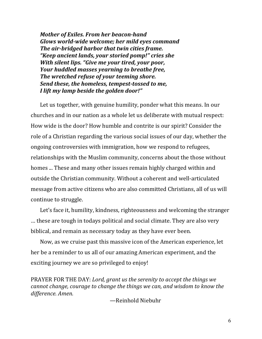*Mother of Exiles. From her beacon-hand Glows world-wide welcome; her mild eyes command The air-bridged harbor that twin cities frame. "Keep ancient lands, your storied pomp!" cries she With silent lips. "Give me your tired, your poor, Your huddled masses yearning to breathe free,* The wretched refuse of your teeming shore. *Send these, the homeless, tempest-tossed to me, I lift my lamp beside the golden door!"*

Let us together, with genuine humility, ponder what this means. In our churches and in our nation as a whole let us deliberate with mutual respect: How wide is the door? How humble and contrite is our spirit? Consider the role of a Christian regarding the various social issues of our day, whether the ongoing controversies with immigration, how we respond to refugees, relationships with the Muslim community, concerns about the those without homes ... These and many other issues remain highly charged within and outside the Christian community. Without a coherent and well-articulated message from active citizens who are also committed Christians, all of us will continue to struggle.

Let's face it, humility, kindness, righteousness and welcoming the stranger ... these are tough in todays political and social climate. They are also very biblical, and remain as necessary today as they have ever been.

Now, as we cruise past this massive icon of the American experience, let her be a reminder to us all of our amazing American experiment, and the exciting journey we are so privileged to enjoy!

PRAYER FOR THE DAY: *Lord, grant us the serenity to accept the things we cannot change, courage to change the things we can, and wisdom to know the difference. Amen.*

—Reinhold Niebuhr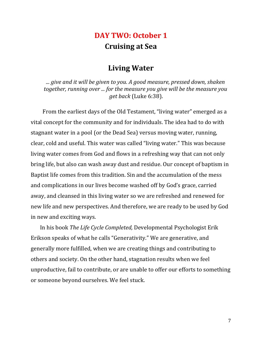## DAY TWO: October 1 **Cruising at Sea**

#### **Living Water**

*... give and it will be given to you. A good measure, pressed down, shaken together, running over ... for the measure you give will be the measure you get back* (Luke 6:38).

From the earliest days of the Old Testament, "living water" emerged as a vital concept for the community and for individuals. The idea had to do with stagnant water in a pool (or the Dead Sea) versus moving water, running, clear, cold and useful. This water was called "living water." This was because living water comes from God and flows in a refreshing way that can not only bring life, but also can wash away dust and residue. Our concept of baptism in Baptist life comes from this tradition. Sin and the accumulation of the mess and complications in our lives become washed off by God's grace, carried away, and cleansed in this living water so we are refreshed and renewed for new life and new perspectives. And therefore, we are ready to be used by God in new and exciting ways.

In his book *The Life Cycle Completed*, Developmental Psychologist Erik Erikson speaks of what he calls "Generativity." We are generative, and generally more fulfilled, when we are creating things and contributing to others and society. On the other hand, stagnation results when we feel unproductive, fail to contribute, or are unable to offer our efforts to something or someone beyond ourselves. We feel stuck.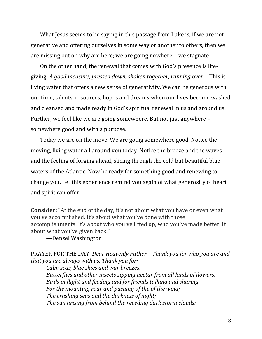What Jesus seems to be saying in this passage from Luke is, if we are not generative and offering ourselves in some way or another to others, then we are missing out on why are here; we are going nowhere—we stagnate.

On the other hand, the renewal that comes with God's presence is lifegiving: A good measure, pressed down, shaken together, running over ... This is living water that offers a new sense of generativity. We can be generous with our time, talents, resources, hopes and dreams when our lives become washed and cleansed and made ready in God's spiritual renewal in us and around us. Further, we feel like we are going somewhere. But not just anywhere – somewhere good and with a purpose.

Today we are on the move. We are going somewhere good. Notice the moving, living water all around you today. Notice the breeze and the waves and the feeling of forging ahead, slicing through the cold but beautiful blue waters of the Atlantic. Now be ready for something good and renewing to change you. Let this experience remind you again of what generosity of heart and spirit can offer!

**Consider:** "At the end of the day, it's not about what you have or even what you've accomplished. It's about what you've done with those accomplishments. It's about who you've lifted up, who you've made better. It about what you've given back."

—Denzel Washington

PRAYER FOR THE DAY: *Dear Heavenly Father* – *Thank you for who you are and that* you are always with us. Thank you for:

*Calm seas, blue skies and war breezes; Butterflies and other insects sipping nectar from all kinds of flowers; Birds* in flight and feeding and for friends talking and sharing. For the mounting roar and pushing of the of the wind; *The crashing seas and the darkness of night;* The sun arising from behind the receding dark storm clouds;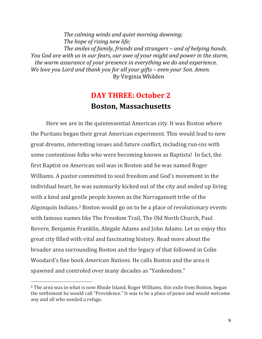*The calming winds and quiet morning dawning; The hope of rising new life; The smiles of family, friends and strangers* – *and of helping hands. You God are with us in our fears, our awe of your might and power in the storm, the* warm assurance of your presence in everything we do and experience. *We love you Lord and thank you for all your gifts – even your Son. Amen.* By Virginia Whilden

## **DAY THREE: October 2 Boston, Massachusetts**

Here we are in the quintessential American city. It was Boston where the Puritans began their great American experiment. This would lead to new great dreams, interesting issues and future conflict, including run-ins with some contentious folks who were becoming known as Baptists! In fact, the first Baptist on American soil was in Boston and he was named Roger Williams. A pastor committed to soul freedom and God's movement in the individual heart, he was summarily kicked out of the city and ended up living with a kind and gentle people known as the Narragansett tribe of the Algonquin Indians.<sup>2</sup> Boston would go on to be a place of revolutionary events with famous names like The Freedom Trail, The Old North Church, Paul Revere, Benjamin Franklin, Abigale Adams and John Adams. Let us enjoy this great city filled with vital and fascinating history. Read more about the broader area surrounding Boston and the legacy of that followed in Colin Woodard's fine book *American Nations*. He calls Boston and the area it spawned and controled over many decades as "Yankeedom."

 

<sup>&</sup>lt;sup>2</sup> The area was in what is now Rhode Island. Roger Williams, this exile from Boston, began the settlement he would call "Providence." It was to be a place of peace and would welcome any and all who needed a refuge.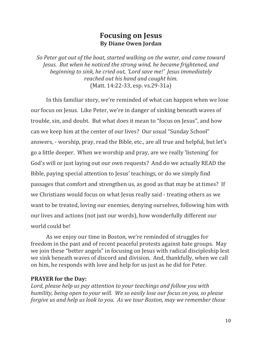#### **Focusing on Jesus By Diane Owen Jordan**

*So Peter got out of the boat, started walking on the water, and came toward Jesus.* But when he noticed the strong wind, he became frightened, and *beginning to sink, he cried out, 'Lord save me!' Jesus immediately reached out his hand and caught him.* (Matt. 14:22-33, esp. vs.29-31a)

In this familiar story, we're reminded of what can happen when we lose our focus on Jesus. Like Peter, we're in danger of sinking beneath waves of trouble, sin, and doubt. But what does it mean to "focus on Jesus", and how can we keep him at the center of our lives? Our usual "Sunday School" answers, - worship, pray, read the Bible, etc., are all true and helpful, but let's go a little deeper. When we worship and pray, are we really 'listening' for God's will or just laying out our own requests? And do we actually READ the Bible, paying special attention to Jesus' teachings, or do we simply find passages that comfort and strengthen us, as good as that may be at times? If we Christians would focus on what Jesus really said - treating others as we want to be treated, loving our enemies, denying ourselves, following him with our lives and actions (not just our words), how wonderfully different our world could be!

As we enjoy our time in Boston, we're reminded of struggles for freedom in the past and of recent peaceful protests against hate groups. May we join these "better angels" in focusing on Jesus with radical discipleship lest we sink beneath waves of discord and division. And, thankfully, when we call on him, he responds with love and help for us just as he did for Peter.

#### **PRAYER** for the Day:

*Lord, please help us pay attention to your teachings and follow you with humility, being open to your will. We so easily lose our focus on you, so please forgive us and help us look to you. As we tour Boston, may we remember those*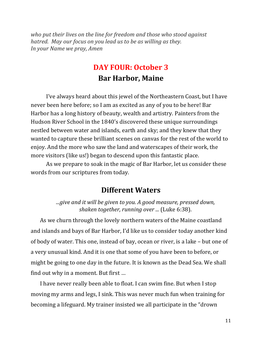who put their lives on the line for freedom and those who stood against *hatred.* May our focus on you lead us to be as willing as they. *In your Name we pray, Amen*

## DAY FOUR: October 3 **Bar Harbor, Maine**

I've always heard about this jewel of the Northeastern Coast, but I have never been here before; so I am as excited as any of you to be here! Bar Harbor has a long history of beauty, wealth and artistry. Painters from the Hudson River School in the 1840's discovered these unique surroundings nestled between water and islands, earth and sky; and they knew that they wanted to capture these brilliant scenes on canvas for the rest of the world to enjoy. And the more who saw the land and waterscapes of their work, the more visitors (like us!) began to descend upon this fantastic place.

As we prepare to soak in the magic of Bar Harbor, let us consider these words from our scriptures from today.

#### **Different Waters**

*...give and it will be given to you. A good measure, pressed down,*  shaken together, running over ... (Luke 6:38).

As we churn through the lovely northern waters of the Maine coastland and islands and bays of Bar Harbor, I'd like us to consider today another kind of body of water. This one, instead of bay, ocean or river, is a lake - but one of a very unusual kind. And it is one that some of you have been to before, or might be going to one day in the future. It is known as the Dead Sea. We shall find out why in a moment. But first ...

I have never really been able to float. I can swim fine. But when I stop moving my arms and legs, I sink. This was never much fun when training for becoming a lifeguard. My trainer insisted we all participate in the "drown"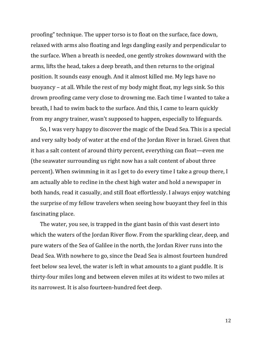proofing" technique. The upper torso is to float on the surface, face down, relaxed with arms also floating and legs dangling easily and perpendicular to the surface. When a breath is needed, one gently strokes downward with the arms, lifts the head, takes a deep breath, and then returns to the original position. It sounds easy enough. And it almost killed me. My legs have no buoyancy – at all. While the rest of my body might float, my legs sink. So this drown proofing came very close to drowning me. Each time I wanted to take a breath, I had to swim back to the surface. And this, I came to learn quickly from my angry trainer, wasn't supposed to happen, especially to lifeguards.

So, I was very happy to discover the magic of the Dead Sea. This is a special and very salty body of water at the end of the Jordan River in Israel. Given that it has a salt content of around thirty percent, everything can float—even me (the seawater surrounding us right now has a salt content of about three percent). When swimming in it as I get to do every time I take a group there, I am actually able to recline in the chest high water and hold a newspaper in both hands, read it casually, and still float effortlessly. I always enjoy watching the surprise of my fellow travelers when seeing how buoyant they feel in this fascinating place.

The water, you see, is trapped in the giant basin of this vast desert into which the waters of the Jordan River flow. From the sparkling clear, deep, and pure waters of the Sea of Galilee in the north, the Jordan River runs into the Dead Sea. With nowhere to go, since the Dead Sea is almost fourteen hundred feet below sea level, the water is left in what amounts to a giant puddle. It is thirty-four miles long and between eleven miles at its widest to two miles at its narrowest. It is also fourteen-hundred feet deep.

12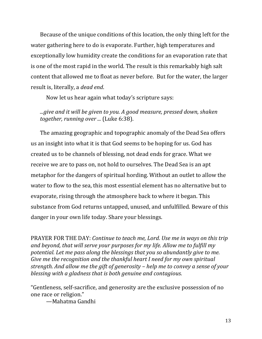Because of the unique conditions of this location, the only thing left for the water gathering here to do is evaporate. Further, high temperatures and exceptionally low humidity create the conditions for an evaporation rate that is one of the most rapid in the world. The result is this remarkably high salt content that allowed me to float as never before. But for the water, the larger result is, literally, a *dead end*.

Now let us hear again what today's scripture says:

*...give and it will be given to you. A good measure, pressed down, shaken*  together, running over ... (Luke 6:38).

The amazing geographic and topographic anomaly of the Dead Sea offers us an insight into what it is that God seems to be hoping for us. God has created us to be channels of blessing, not dead ends for grace. What we receive we are to pass on, not hold to ourselves. The Dead Sea is an apt metaphor for the dangers of spiritual hording. Without an outlet to allow the water to flow to the sea, this most essential element has no alternative but to evaporate, rising through the atmosphere back to where it began. This substance from God returns untapped, unused, and unfulfilled. Beware of this danger in your own life today. Share your blessings.

PRAYER FOR THE DAY: *Continue to teach me, Lord. Use me in ways on this trip* and beyond, that will serve your purposes for my life. Allow me to fulfill my *potential. Let me pass along the blessings that you so abundantly give to me. Give* me the recognition and the thankful heart I need for my own spiritual *strength.* And allow me the gift of generosity – help me to convey a sense of your *blessing with a gladness that is both genuine and contagious.* 

"Gentleness, self-sacrifice, and generosity are the exclusive possession of no one race or religion."

—Mahatma Gandhi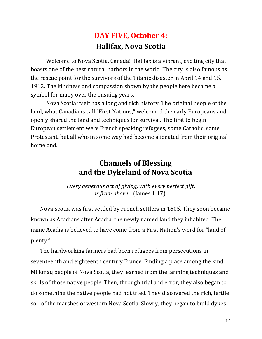## **DAY FIVE, October 4: Halifax, Nova Scotia**

Welcome to Nova Scotia, Canada! Halifax is a vibrant, exciting city that boasts one of the best natural harbors in the world. The city is also famous as the rescue point for the survivors of the Titanic disaster in April 14 and 15, 1912. The kindness and compassion shown by the people here became a symbol for many over the ensuing years.

Nova Scotia itself has a long and rich history. The original people of the land, what Canadians call "First Nations," welcomed the early Europeans and openly shared the land and techniques for survival. The first to begin European settlement were French speaking refugees, some Catholic, some Protestant, but all who in some way had become alienated from their original homeland. 

#### **Channels of Blessing and the Dykeland of Nova Scotia**

*Every generous act of giving, with every perfect gift, is from above...* (James 1:17).

Nova Scotia was first settled by French settlers in 1605. They soon became known as Acadians after Acadia, the newly named land they inhabited. The name Acadia is believed to have come from a First Nation's word for "land of plenty." 

The hardworking farmers had been refugees from persecutions in seventeenth and eighteenth century France. Finding a place among the kind Mi'kmaq people of Nova Scotia, they learned from the farming techniques and skills of those native people. Then, through trial and error, they also began to do something the native people had not tried. They discovered the rich, fertile soil of the marshes of western Nova Scotia. Slowly, they began to build dykes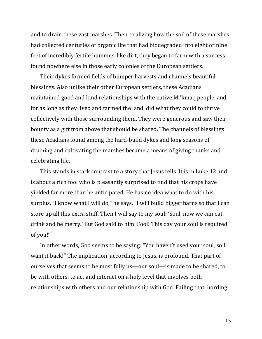and to drain these vast marshes. Then, realizing how the soil of these marshes had collected centuries of organic life that had biodegraded into eight or nine feet of incredibly fertile hummus-like dirt, they began to farm with a success found nowhere else in those early colonies of the European settlers.

Their dykes formed fields of bumper harvests and channels beautiful blessings. Also unlike their other European settlers, these Acadians maintained good and kind relationships with the native Mi'kmaq people, and for as long as they lived and farmed the land, did what they could to thrive collectively with those surrounding them. They were generous and saw their bounty as a gift from above that should be shared. The channels of blessings these Acadians found among the hard-build dykes and long seasons of draining and cultivating the marshes became a means of giving thanks and celebrating life.

This stands in stark contrast to a story that Jesus tells. It is in Luke 12 and is about a rich fool who is pleasantly surprised to find that his crops have yielded far more than he anticipated. He has no idea what to do with his surplus. "I know what I will do," he says. "I will build bigger barns so that I can store up all this extra stuff. Then I will say to my soul: 'Soul, now we can eat, drink and be merry.' But God said to him 'Fool! This day your soul is required of you!"

In other words, God seems to be saying: "You haven't used your soul, so I want it back!" The implication, according to Jesus, is profound. That part of ourselves that seems to be most fully us—our soul—is made to be shared, to be with others, to act and interact on a holy level that involves both relationships with others and our relationship with God. Failing that, hording

15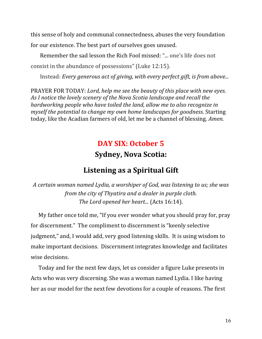this sense of holy and communal connectedness, abuses the very foundation for our existence. The best part of ourselves goes unused.

Remember the sad lesson the Rich Fool missed: "... one's life does not consist in the abundance of possessions" (Luke 12:15).

Instead: *Every generous act of giving, with every perfect gift, is from above...* 

PRAYER FOR TODAY: *Lord, help me see the beauty of this place with new eyes.* As I notice the lovely scenery of the Nova Scotia landscape and recall the *hardworking people who have toiled the land, allow me to also recognize in myself* the potential to change my own home landscapes for goodness. Starting today, like the Acadian farmers of old, let me be a channel of blessing. *Amen.* 

#### **DAY SIX: October 5**

#### **Sydney, Nova Scotia:**

#### Listening as a Spiritual Gift

*A* certain woman named Lydia, a worshiper of God, was listening to us; she was *from the city of Thyatira and a dealer in purple cloth.* The Lord opened her heart... (Acts 16:14).

My father once told me, "If you ever wonder what you should pray for, pray for discernment." The compliment to discernment is "keenly selective judgment," and, I would add, very good listening skills. It is using wisdom to make important decisions. Discernment integrates knowledge and facilitates wise decisions.

Today and for the next few days, let us consider a figure Luke presents in Acts who was very discerning. She was a woman named Lydia. I like having her as our model for the next few devotions for a couple of reasons. The first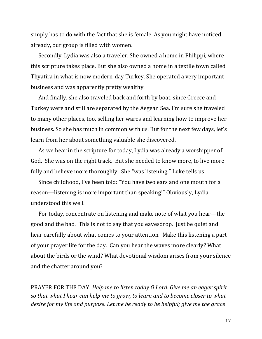simply has to do with the fact that she is female. As you might have noticed already, our group is filled with women.

Secondly, Lydia was also a traveler. She owned a home in Philippi, where this scripture takes place. But she also owned a home in a textile town called Thyatira in what is now modern-day Turkey. She operated a very important business and was apparently pretty wealthy.

And finally, she also traveled back and forth by boat, since Greece and Turkey were and still are separated by the Aegean Sea. I'm sure she traveled to many other places, too, selling her wares and learning how to improve her business. So she has much in common with us. But for the next few days, let's learn from her about something valuable she discovered.

As we hear in the scripture for today, Lydia was already a worshipper of God. She was on the right track. But she needed to know more, to live more fully and believe more thoroughly. She "was listening," Luke tells us.

Since childhood, I've been told: "You have two ears and one mouth for a reason—listening is more important than speaking!" Obviously, Lydia understood this well.

For today, concentrate on listening and make note of what you hear—the good and the bad. This is not to say that you eavesdrop. Just be quiet and hear carefully about what comes to your attention. Make this listening a part of your prayer life for the day. Can you hear the waves more clearly? What about the birds or the wind? What devotional wisdom arises from your silence and the chatter around you?

PRAYER FOR THE DAY: *Help me to listen today O Lord. Give me an eager spirit so* that what I hear can help me to grow, to learn and to become closer to what *desire for my life and purpose. Let me be ready to be helpful; give me the grace*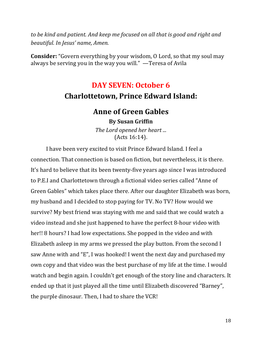*to* be kind and patient. And keep me focused on all that is good and right and *beautiful. In Jesus' name, Amen.*

**Consider:** "Govern everything by your wisdom, O Lord, so that my soul may always be serving you in the way you will."  $-$ Teresa of Avila

## **DAY SEVEN: October 6 Charlottetown, Prince Edward Island:**

#### **Anne of Green Gables**

**By Susan Griffin** *The Lord opened her heart ...* 

(Acts 16:14).

I have been very excited to visit Prince Edward Island. I feel a connection. That connection is based on fiction, but nevertheless, it is there. It's hard to believe that its been twenty-five years ago since I was introduced to P.E.I and Charlottetown through a fictional video series called "Anne of Green Gables" which takes place there. After our daughter Elizabeth was born, my husband and I decided to stop paying for TV. No TV? How would we survive? My best friend was staying with me and said that we could watch a video instead and she just happened to have the perfect 8-hour video with her!! 8 hours? I had low expectations. She popped in the video and with Elizabeth asleep in my arms we pressed the play button. From the second I saw Anne with and "E", I was hooked! I went the next day and purchased my own copy and that video was the best purchase of my life at the time. I would watch and begin again. I couldn't get enough of the story line and characters. It ended up that it just played all the time until Elizabeth discovered "Barney", the purple dinosaur. Then, I had to share the VCR!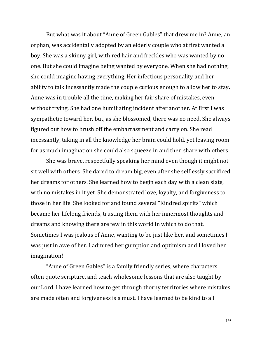But what was it about "Anne of Green Gables" that drew me in? Anne, an orphan, was accidentally adopted by an elderly couple who at first wanted a boy. She was a skinny girl, with red hair and freckles who was wanted by no one. But she could imagine being wanted by everyone. When she had nothing, she could imagine having everything. Her infectious personality and her ability to talk incessantly made the couple curious enough to allow her to stay. Anne was in trouble all the time, making her fair share of mistakes, even without trying. She had one humiliating incident after another. At first I was sympathetic toward her, but, as she blossomed, there was no need. She always figured out how to brush off the embarrassment and carry on. She read incessantly, taking in all the knowledge her brain could hold, yet leaving room for as much imagination she could also squeeze in and then share with others.

She was brave, respectfully speaking her mind even though it might not sit well with others. She dared to dream big, even after she selflessly sacrificed her dreams for others. She learned how to begin each day with a clean slate, with no mistakes in it yet. She demonstrated love, loyalty, and forgiveness to those in her life. She looked for and found several "Kindred spirits" which became her lifelong friends, trusting them with her innermost thoughts and dreams and knowing there are few in this world in which to do that. Sometimes I was jealous of Anne, wanting to be just like her, and sometimes I was just in awe of her. I admired her gumption and optimism and I loved her imagination!

"Anne of Green Gables" is a family friendly series, where characters often quote scripture, and teach wholesome lessons that are also taught by our Lord. I have learned how to get through thorny territories where mistakes are made often and forgiveness is a must. I have learned to be kind to all

19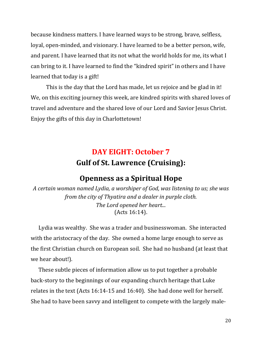because kindness matters. I have learned ways to be strong, brave, selfless, loyal, open-minded, and visionary. I have learned to be a better person, wife, and parent. I have learned that its not what the world holds for me, its what I can bring to it. I have learned to find the "kindred spirit" in others and I have learned that today is a gift!

This is the day that the Lord has made, let us rejoice and be glad in it! We, on this exciting journey this week, are kindred spirits with shared loves of travel and adventure and the shared love of our Lord and Savior Jesus Christ. Enjoy the gifts of this day in Charlottetown!

## DAY EIGHT: October 7 **Gulf of St. Lawrence (Cruising):**

#### **Openness as a Spiritual Hope**

*A* certain woman named Lydia, a worshiper of God, was listening to us; she was *from the city of Thyatira and a dealer in purple cloth. The Lord opened her heart...* (Acts 16:14).

Lydia was wealthy. She was a trader and businesswoman. She interacted with the aristocracy of the day. She owned a home large enough to serve as the first Christian church on European soil. She had no husband (at least that we hear about!).

These subtle pieces of information allow us to put together a probable back-story to the beginnings of our expanding church heritage that Luke relates in the text (Acts  $16:14-15$  and  $16:40$ ). She had done well for herself. She had to have been savvy and intelligent to compete with the largely male-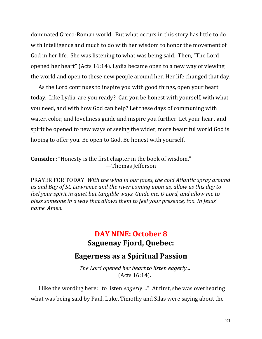dominated Greco-Roman world. But what occurs in this story has little to do with intelligence and much to do with her wisdom to honor the movement of God in her life. She was listening to what was being said. Then, "The Lord opened her heart" (Acts 16:14). Lydia became open to a new way of viewing the world and open to these new people around her. Her life changed that day.

As the Lord continues to inspire you with good things, open your heart today. Like Lydia, are you ready? Can you be honest with yourself, with what you need, and with how God can help? Let these days of communing with water, color, and loveliness guide and inspire you further. Let your heart and spirit be opened to new ways of seeing the wider, more beautiful world God is hoping to offer you. Be open to God. Be honest with yourself.

**Consider:** "Honesty is the first chapter in the book of wisdom." —Thomas Jefferson

PRAYER FOR TODAY: *With the wind in our faces, the cold Atlantic spray around* us and Bay of St. Lawrence and the river coming upon us, allow us this day to *feel your spirit in quiet but tangible ways. Guide me, O Lord, and allow me to bless someone in a way that allows them to feel your presence, too. In Jesus' name. Amen.* 

#### **DAY NINE: October 8 Saguenay Fjord, Quebec:**

#### **Eagerness as a Spiritual Passion**

The Lord opened her heart to listen eagerly... (Acts 16:14).

I like the wording here: "to listen *eagerly* ..." At first, she was overhearing what was being said by Paul, Luke, Timothy and Silas were saying about the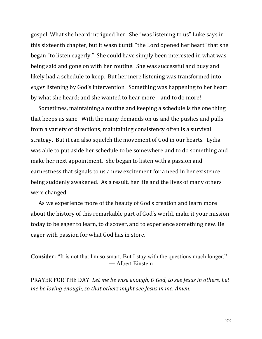gospel. What she heard intrigued her. She "was listening to us" Luke says in this sixteenth chapter, but it wasn't until "the Lord opened her heart" that she began "to listen eagerly." She could have simply been interested in what was being said and gone on with her routine. She was successful and busy and likely had a schedule to keep. But her mere listening was transformed into *eager* listening by God's intervention. Something was happening to her heart by what she heard; and she wanted to hear more – and to do more!

Sometimes, maintaining a routine and keeping a schedule is the one thing that keeps us sane. With the many demands on us and the pushes and pulls from a variety of directions, maintaining consistency often is a survival strategy. But it can also squelch the movement of God in our hearts. Lydia was able to put aside her schedule to be somewhere and to do something and make her next appointment. She began to listen with a passion and earnestness that signals to us a new excitement for a need in her existence being suddenly awakened. As a result, her life and the lives of many others were changed. 

As we experience more of the beauty of God's creation and learn more about the history of this remarkable part of God's world, make it your mission today to be eager to learn, to discover, and to experience something new. Be eager with passion for what God has in store.

**Consider:** "It is not that I'm so smart. But I stay with the questions much longer." ― Albert Einstein

PRAYER FOR THE DAY: Let me be wise enough, O God, to see Jesus in others. Let *me be loving enough, so that others might see Jesus in me. Amen.*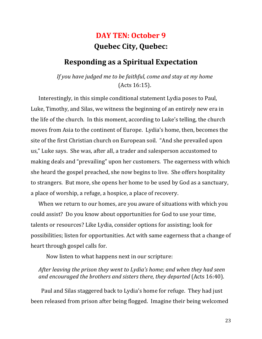## DAY TEN: October 9 **Quebec City, Quebec:**

#### **Responding as a Spiritual Expectation**

*If* you have judged me to be faithful, come and stay at my home (Acts 16:15).

Interestingly, in this simple conditional statement Lydia poses to Paul, Luke, Timothy, and Silas, we witness the beginning of an entirely new era in the life of the church. In this moment, according to Luke's telling, the church moves from Asia to the continent of Europe. Lydia's home, then, becomes the site of the first Christian church on European soil. "And she prevailed upon us," Luke says. She was, after all, a trader and salesperson accustomed to making deals and "prevailing" upon her customers. The eagerness with which she heard the gospel preached, she now begins to live. She offers hospitality to strangers. But more, she opens her home to be used by God as a sanctuary, a place of worship, a refuge, a hospice, a place of recovery.

When we return to our homes, are you aware of situations with which you could assist? Do you know about opportunities for God to use your time, talents or resources? Like Lydia, consider options for assisting; look for possibilities; listen for opportunities. Act with same eagerness that a change of heart through gospel calls for.

Now listen to what happens next in our scripture:

#### *After leaving the prison they went to Lydia's home; and when they had seen and encouraged the brothers and sisters there, they departed* (Acts 16:40).

Paul and Silas staggered back to Lydia's home for refuge. They had just been released from prison after being flogged. Imagine their being welcomed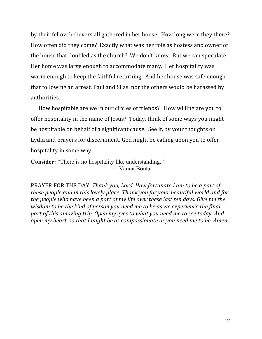by their fellow believers all gathered in her house. How long were they there? How often did they come? Exactly what was her role as hostess and owner of the house that doubled as the church? We don't know. But we can speculate. Her home was large enough to accommodate many. Her hospitality was warm enough to keep the faithful returning. And her house was safe enough that following an arrest, Paul and Silas, nor the others would be harassed by authorities. 

How hospitable are we in our circles of friends? How willing are you to offer hospitality in the name of Jesus? Today, think of some ways you might be hospitable on behalf of a significant cause. See if, by your thoughts on Lydia and prayers for discernment, God might be calling upon you to offer hospitality in some way.

**Consider:** "There is no hospitality like understanding." ― Vanna Bonta

PRAYER FOR THE DAY: *Thank you, Lord. How fortunate I am to be a part of these people and in this lovely place. Thank you for your beautiful world and for the people who have been a part of my life over these last ten days. Give me the wisdom to be the kind of person you need me to be as we experience the final* part of this amazing trip. Open my eyes to what you need me to see today. And *open my heart, so that I might be as compassionate as you need me to be. Amen.*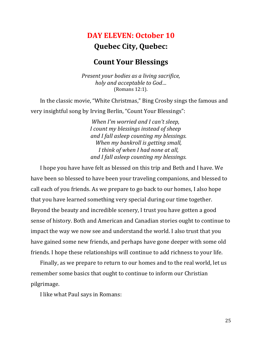# **DAY ELEVEN: October 10**

#### **Quebec City, Quebec:**

#### **Count Your Blessings**

*Present your bodies as a living sacrifice, holy and acceptable to God…* (Romans 12:1).

In the classic movie, "White Christmas," Bing Crosby sings the famous and very insightful song by Irving Berlin, "Count Your Blessings":

> *When I'm worried and I can't sleep, I* count my blessings instead of sheep *and I fall asleep counting my blessings. When my bankroll is getting small, I* think of when I had none at all, *and I fall asleep counting my blessings.*

I hope you have have felt as blessed on this trip and Beth and I have. We have been so blessed to have been your traveling companions, and blessed to call each of you friends. As we prepare to go back to our homes, I also hope that you have learned something very special during our time together. Beyond the beauty and incredible scenery, I trust you have gotten a good sense of history. Both and American and Canadian stories ought to continue to impact the way we now see and understand the world. I also trust that you have gained some new friends, and perhaps have gone deeper with some old friends. I hope these relationships will continue to add richness to your life.

Finally, as we prepare to return to our homes and to the real world, let us remember some basics that ought to continue to inform our Christian pilgrimage.

I like what Paul says in Romans: